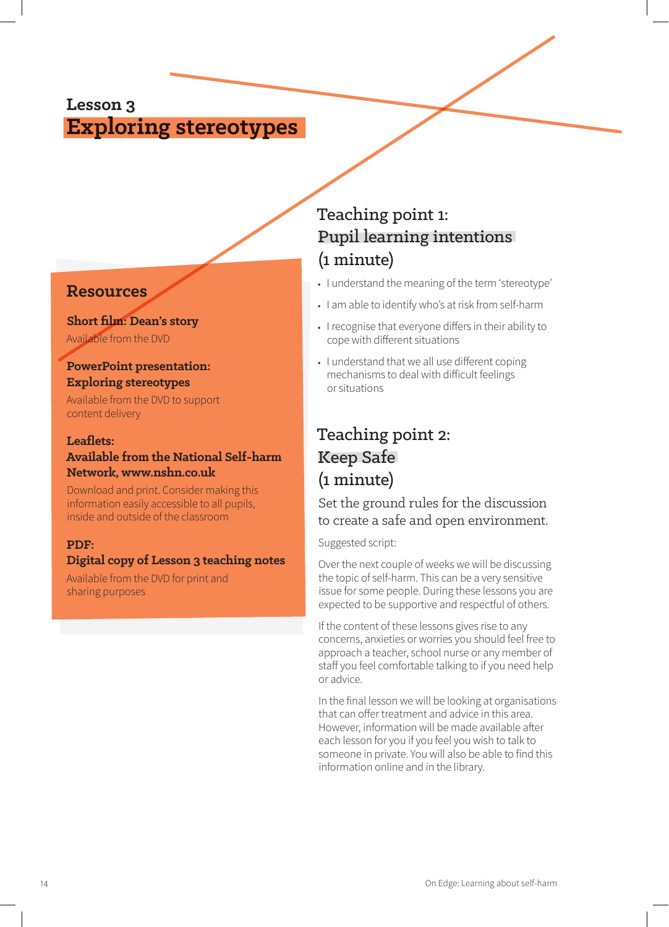## **Lesson 3 Exploring stereotypes**

### **Resources**

## **Short film: Dean's story**

Available from the DVD

### **PowerPoint presentation: Exploring stereotypes**

Available from the DVD to support content delivery

#### **Leaflets: Available from the National Self-harm Network, www.nshn.co.uk**

Download and print. Consider making this information easily accessible to all pupils, inside and outside of the classroom

### **PDF:**

### **Digital copy of Lesson 3 teaching notes**

Available from the DVD for print and sharing purposes

# Teaching point 1: Pupil learning intentions (1 minute)

- **•** I understand the meaning of the term 'stereotype'
- **•** I am able to identify who's at risk from self-harm
- **•** I recognise that everyone differs in their ability to cope with different situations
- **•** I understand that we all use different coping mechanisms to deal with difficult feelings or situations

# Teaching point 2: Keep Safe (1 minute)

### Set the ground rules for the discussion to create a safe and open environment.

#### Suggested script:

Over the next couple of weeks we will be discussing the topic of self-harm. This can be a very sensitive issue for some people. During these lessons you are expected to be supportive and respectful of others.

If the content of these lessons gives rise to any concerns, anxieties or worries you should feel free to approach a teacher, school nurse or any member of staff you feel comfortable talking to if you need help or advice.

In the final lesson we will be looking at organisations that can offer treatment and advice in this area. However, information will be made available after each lesson for you if you feel you wish to talk to someone in private. You will also be able to find this information online and in the library.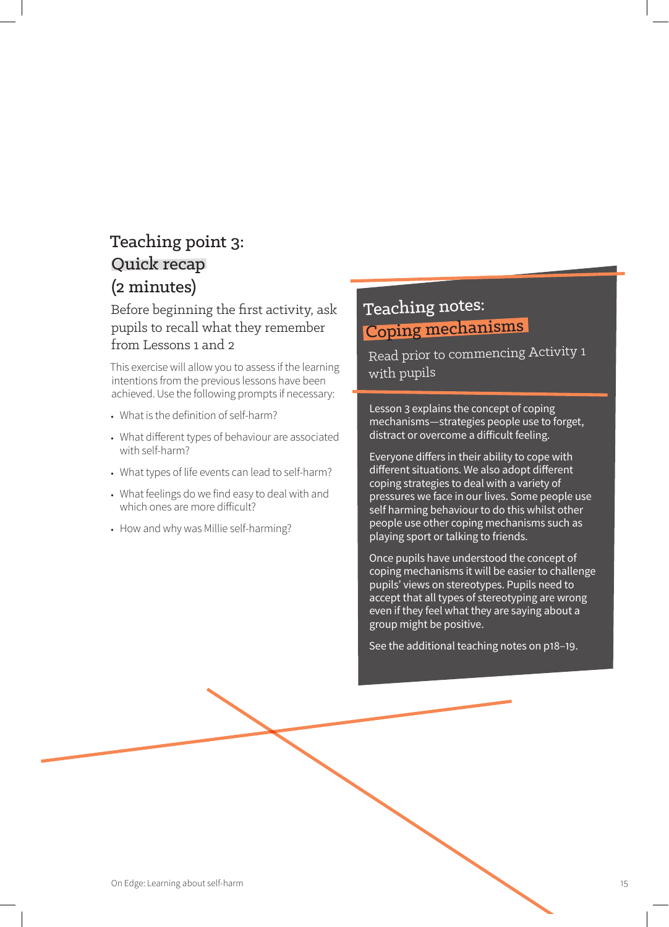# Teaching point 3: Quick recap (2 minutes)

Before beginning the first activity, ask pupils to recall what they remember from Lessons 1 and 2

This exercise will allow you to assess if the learning intentions from the previous lessons have been achieved. Use the following prompts if necessary:

- **•** What is the definition of self-harm?
- **•** What different types of behaviour are associated with self-harm?
- **•** What types of life events can lead to self-harm?
- **•** What feelings do we find easy to deal with and which ones are more difficult?
- **•** How and why was Millie self-harming?

# Teaching notes: Coping mechanisms

Read prior to commencing Activity 1 with pupils

Lesson 3 explains the concept of coping mechanisms—strategies people use to forget, distract or overcome a difficult feeling.

Everyone differs in their ability to cope with different situations. We also adopt different coping strategies to deal with a variety of pressures we face in our lives. Some people use self harming behaviour to do this whilst other people use other coping mechanisms such as playing sport or talking to friends.

Once pupils have understood the concept of coping mechanisms it will be easier to challenge pupils' views on stereotypes. Pupils need to accept that all types of stereotyping are wrong even if they feel what they are saying about a group might be positive.

See the additional teaching notes on p18–19.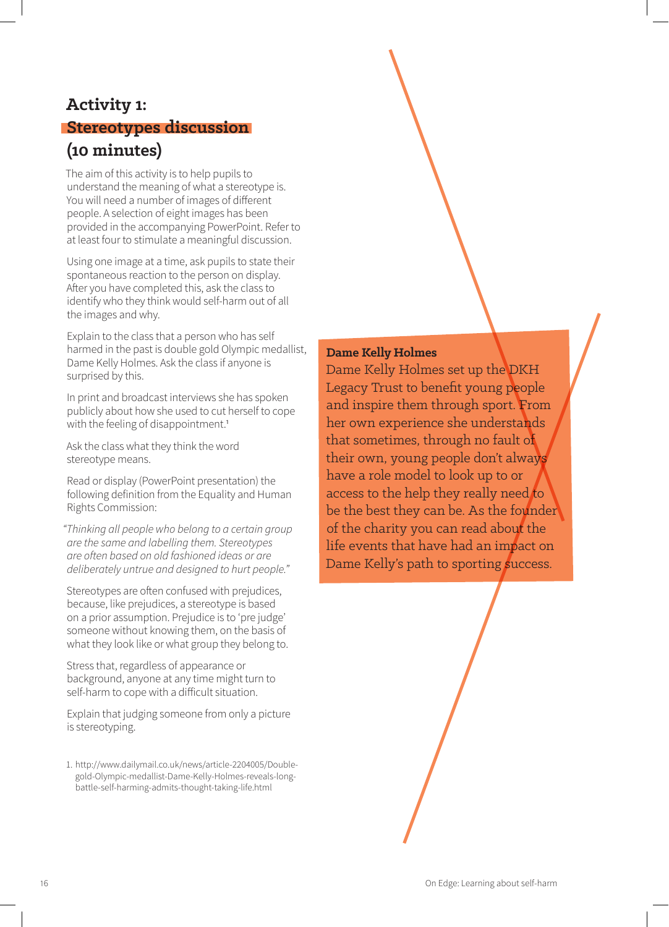# **Activity 1: Stereotypes discussion (10 minutes)**

The aim of this activity is to help pupils to understand the meaning of what a stereotype is. You will need a number of images of different people. A selection of eight images has been provided in the accompanying PowerPoint. Refer to at least four to stimulate a meaningful discussion.

Using one image at a time, ask pupils to state their spontaneous reaction to the person on display. After you have completed this, ask the class to identify who they think would self-harm out of all the images and why.

Explain to the class that a person who has self harmed in the past is double gold Olympic medallist, Dame Kelly Holmes. Ask the class if anyone is surprised by this.

In print and broadcast interviews she has spoken publicly about how she used to cut herself to cope with the feeling of disappointment.<sup>1</sup>

Ask the class what they think the word stereotype means.

Read or display (PowerPoint presentation) the following definition from the Equality and Human Rights Commission:

*"Thinking all people who belong to a certain group are the same and labelling them. Stereotypes are often based on old fashioned ideas or are deliberately untrue and designed to hurt people."*

Stereotypes are often confused with prejudices, because, like prejudices, a stereotype is based on a prior assumption. Prejudice is to 'pre judge' someone without knowing them, on the basis of what they look like or what group they belong to.

Stress that, regardless of appearance or background, anyone at any time might turn to self-harm to cope with a difficult situation.

Explain that judging someone from only a picture is stereotyping.

1. http://www.dailymail.co.uk/news/article-2204005/Doublegold-Olympic-medallist-Dame-Kelly-Holmes-reveals-longbattle-self-harming-admits-thought-taking-life.html

#### **Dame Kelly Holmes**

Dame Kelly Holmes set up the DKH Legacy Trust to benefit young people and inspire them through sport. From her own experience she understands that sometimes, through no fault of their own, young people don't always have a role model to look up to or access to the help they really need to be the best they can be. As the founder of the charity you can read about the life events that have had an impact on Dame Kelly's path to sporting success.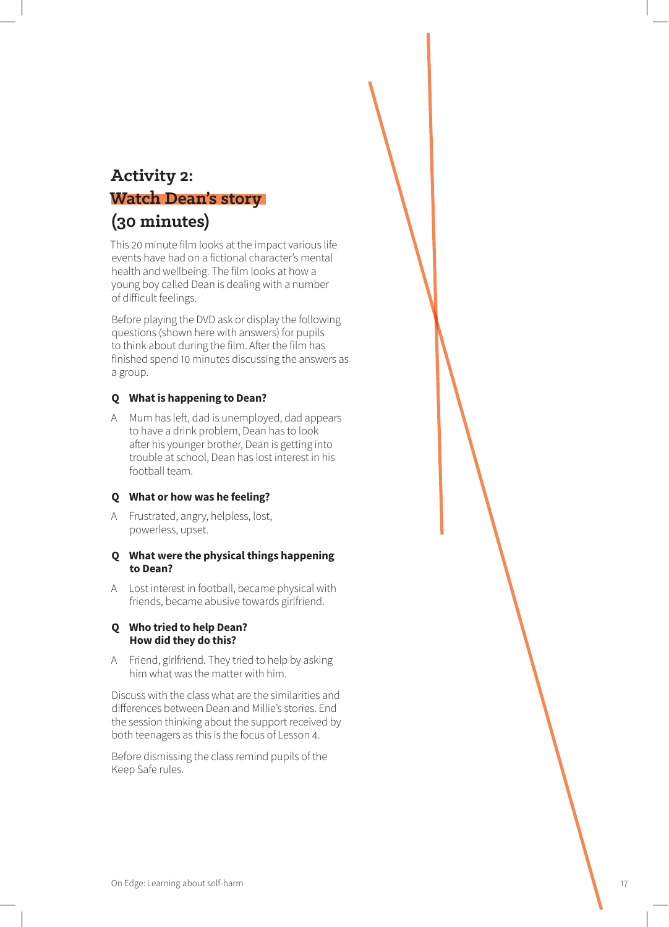## **Activity 2: Watch Dean's story**

# **(30 minutes)**

This 20 minute film looks at the impact various life events have had on a fictional character's mental health and wellbeing. The film looks at how a young boy called Dean is dealing with a number of difficult feelings.

Before playing the DVD ask or display the following questions (shown here with answers) for pupils to think about during the film. After the film has finished spend 10 minutes discussing the answers as a group.

#### **Q What is happening to Dean?**

A Mum has left, dad is unemployed, dad appears to have a drink problem, Dean has to look after his younger brother, Dean is getting into trouble at school, Dean has lost interest in his football team.

#### **Q What or how was he feeling?**

A Frustrated, angry, helpless, lost, powerless, upset.

#### **Q What were the physical things happening to Dean?**

A Lost interest in football, became physical with friends, became abusive towards girlfriend.

#### **Q Who tried to help Dean? How did they do this?**

A Friend, girlfriend. They tried to help by asking him what was the matter with him.

Discuss with the class what are the similarities and differences between Dean and Millie's stories. End the session thinking about the support received by both teenagers as this is the focus of Lesson 4.

Before dismissing the class remind pupils of the Keep Safe rules.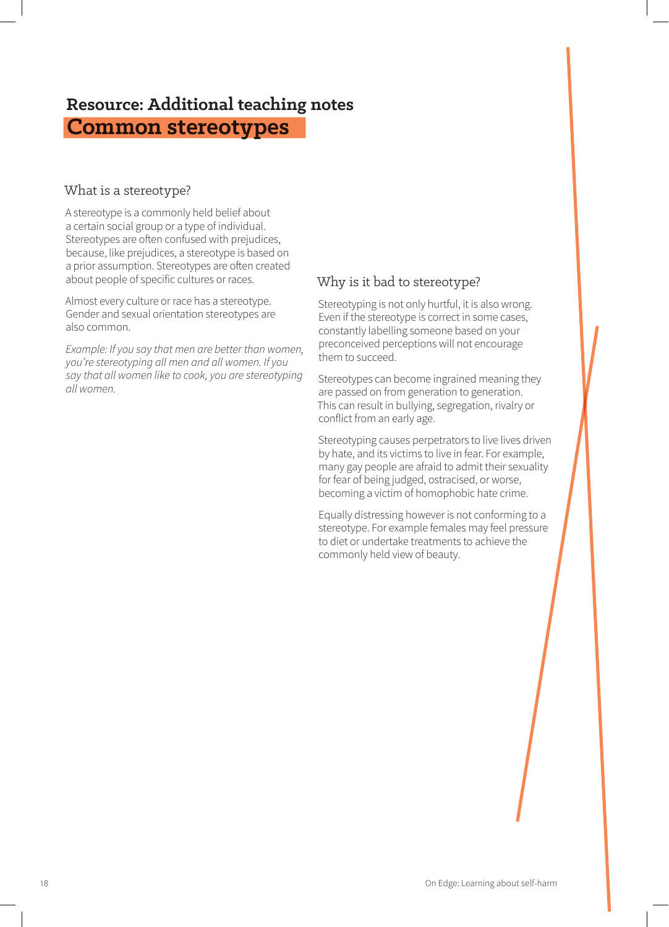# **Resource: Additional teaching notes Common stereotypes**

### What is a stereotype?

A stereotype is a commonly held belief about a certain social group or a type of individual. Stereotypes are often confused with prejudices, because, like prejudices, a stereotype is based on a prior assumption. Stereotypes are often created about people of specific cultures or races.

Almost every culture or race has a stereotype. Gender and sexual orientation stereotypes are also common.

*Example: If you say that men are better than women, you're stereotyping all men and all women. If you say that all women like to cook, you are stereotyping all women.*

## Why is it bad to stereotype?

Stereotyping is not only hurtful, it is also wrong. Even if the stereotype is correct in some cases, constantly labelling someone based on your preconceived perceptions will not encourage them to succeed.

Stereotypes can become ingrained meaning they are passed on from generation to generation. This can result in bullying, segregation, rivalry or conflict from an early age.

Stereotyping causes perpetrators to live lives driven by hate, and its victims to live in fear. For example, many gay people are afraid to admit their sexuality for fear of being judged, ostracised, or worse, becoming a victim of homophobic hate crime.

Equally distressing however is not conforming to a stereotype. For example females may feel pressure to diet or undertake treatments to achieve the commonly held view of beauty.